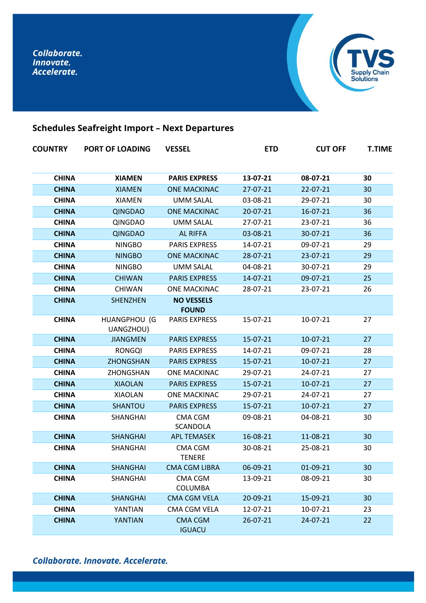

# **Schedules Seafreight Import – Next Departures**

| <b>COUNTRY</b> | <b>PORT OF LOADING</b>    | <b>VESSEL</b>                     | <b>ETD</b> | <b>CUT OFF</b> | <b>T.TIME</b> |
|----------------|---------------------------|-----------------------------------|------------|----------------|---------------|
| <b>CHINA</b>   | <b>XIAMEN</b>             | <b>PARIS EXPRESS</b>              | 13-07-21   | 08-07-21       | 30            |
| <b>CHINA</b>   | <b>XIAMEN</b>             | <b>ONE MACKINAC</b>               | 27-07-21   | 22-07-21       | 30            |
| <b>CHINA</b>   | <b>XIAMEN</b>             | <b>UMM SALAL</b>                  | 03-08-21   | 29-07-21       | 30            |
| <b>CHINA</b>   | <b>QINGDAO</b>            | <b>ONE MACKINAC</b>               | 20-07-21   | $16 - 07 - 21$ | 36            |
| <b>CHINA</b>   | QINGDAO                   | <b>UMM SALAL</b>                  | 27-07-21   | 23-07-21       | 36            |
| <b>CHINA</b>   | <b>QINGDAO</b>            | <b>AL RIFFA</b>                   | 03-08-21   | 30-07-21       | 36            |
| <b>CHINA</b>   | <b>NINGBO</b>             | <b>PARIS EXPRESS</b>              | 14-07-21   | 09-07-21       | 29            |
| <b>CHINA</b>   | <b>NINGBO</b>             | <b>ONE MACKINAC</b>               | 28-07-21   | 23-07-21       | 29            |
| <b>CHINA</b>   | <b>NINGBO</b>             | <b>UMM SALAL</b>                  | 04-08-21   | 30-07-21       | 29            |
| <b>CHINA</b>   | <b>CHIWAN</b>             | <b>PARIS EXPRESS</b>              | 14-07-21   | 09-07-21       | 25            |
| <b>CHINA</b>   | <b>CHIWAN</b>             | <b>ONE MACKINAC</b>               | 28-07-21   | 23-07-21       | 26            |
| <b>CHINA</b>   | <b>SHENZHEN</b>           | <b>NO VESSELS</b><br><b>FOUND</b> |            |                |               |
| <b>CHINA</b>   | HUANGPHOU (G<br>UANGZHOU) | <b>PARIS EXPRESS</b>              | 15-07-21   | 10-07-21       | 27            |
| <b>CHINA</b>   | <b>JIANGMEN</b>           | <b>PARIS EXPRESS</b>              | 15-07-21   | 10-07-21       | 27            |
| <b>CHINA</b>   | <b>RONGQI</b>             | <b>PARIS EXPRESS</b>              | 14-07-21   | 09-07-21       | 28            |
| <b>CHINA</b>   | <b>ZHONGSHAN</b>          | <b>PARIS EXPRESS</b>              | 15-07-21   | $10-07-21$     | 27            |
| <b>CHINA</b>   | ZHONGSHAN                 | <b>ONE MACKINAC</b>               | 29-07-21   | 24-07-21       | 27            |
| <b>CHINA</b>   | <b>XIAOLAN</b>            | <b>PARIS EXPRESS</b>              | 15-07-21   | 10-07-21       | 27            |
| <b>CHINA</b>   | <b>XIAOLAN</b>            | <b>ONE MACKINAC</b>               | 29-07-21   | 24-07-21       | 27            |
| <b>CHINA</b>   | SHANTOU                   | <b>PARIS EXPRESS</b>              | 15-07-21   | 10-07-21       | 27            |
| <b>CHINA</b>   | SHANGHAI                  | CMA CGM<br>SCANDOLA               | 09-08-21   | 04-08-21       | 30            |
| <b>CHINA</b>   | <b>SHANGHAI</b>           | <b>APL TEMASEK</b>                | 16-08-21   | 11-08-21       | 30            |
| <b>CHINA</b>   | SHANGHAI                  | CMA CGM<br><b>TENERE</b>          | 30-08-21   | 25-08-21       | 30            |
| <b>CHINA</b>   | SHANGHAI                  | <b>CMA CGM LIBRA</b>              | 06-09-21   | 01-09-21       | 30            |
| <b>CHINA</b>   | SHANGHAI                  | CMA CGM<br><b>COLUMBA</b>         | 13-09-21   | 08-09-21       | 30            |
| <b>CHINA</b>   | SHANGHAI                  | CMA CGM VELA                      | 20-09-21   | 15-09-21       | 30            |
| <b>CHINA</b>   | YANTIAN                   | CMA CGM VELA                      | 12-07-21   | 10-07-21       | 23            |
| <b>CHINA</b>   | YANTIAN                   | <b>CMA CGM</b><br><b>IGUACU</b>   | 26-07-21   | 24-07-21       | 22            |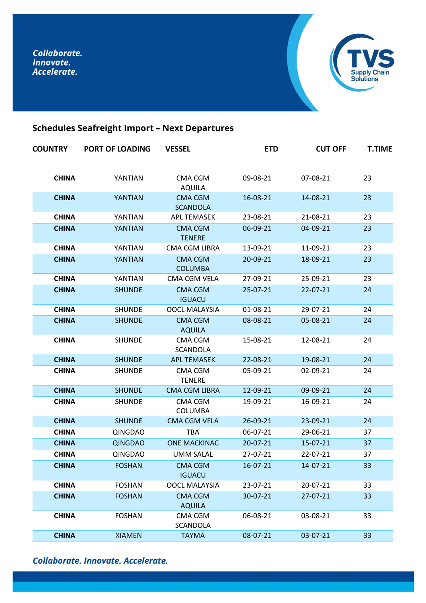

# **Schedules Seafreight Import – Next Departures**

| <b>COUNTRY</b> | <b>PORT OF LOADING</b> | <b>VESSEL</b>                     | <b>ETD</b> | <b>CUT OFF</b> | <b>T.TIME</b> |
|----------------|------------------------|-----------------------------------|------------|----------------|---------------|
| <b>CHINA</b>   | YANTIAN                | <b>CMA CGM</b><br><b>AQUILA</b>   | 09-08-21   | 07-08-21       | 23            |
| <b>CHINA</b>   | YANTIAN                | <b>CMA CGM</b><br><b>SCANDOLA</b> | 16-08-21   | 14-08-21       | 23            |
| <b>CHINA</b>   | YANTIAN                | <b>APL TEMASEK</b>                | 23-08-21   | 21-08-21       | 23            |
| <b>CHINA</b>   | YANTIAN                | <b>CMA CGM</b><br><b>TENERE</b>   | 06-09-21   | 04-09-21       | 23            |
| <b>CHINA</b>   | YANTIAN                | CMA CGM LIBRA                     | 13-09-21   | 11-09-21       | 23            |
| <b>CHINA</b>   | YANTIAN                | <b>CMA CGM</b><br><b>COLUMBA</b>  | 20-09-21   | 18-09-21       | 23            |
| <b>CHINA</b>   | YANTIAN                | CMA CGM VELA                      | 27-09-21   | 25-09-21       | 23            |
| <b>CHINA</b>   | <b>SHUNDE</b>          | <b>CMA CGM</b><br><b>IGUACU</b>   | 25-07-21   | 22-07-21       | 24            |
| <b>CHINA</b>   | <b>SHUNDE</b>          | <b>OOCL MALAYSIA</b>              | 01-08-21   | 29-07-21       | 24            |
| <b>CHINA</b>   | <b>SHUNDE</b>          | <b>CMA CGM</b><br><b>AQUILA</b>   | 08-08-21   | 05-08-21       | 24            |
| <b>CHINA</b>   | <b>SHUNDE</b>          | CMA CGM<br>SCANDOLA               | 15-08-21   | 12-08-21       | 24            |
| <b>CHINA</b>   | <b>SHUNDE</b>          | <b>APL TEMASEK</b>                | 22-08-21   | 19-08-21       | 24            |
| <b>CHINA</b>   | <b>SHUNDE</b>          | <b>CMA CGM</b><br><b>TENERE</b>   | 05-09-21   | 02-09-21       | 24            |
| <b>CHINA</b>   | <b>SHUNDE</b>          | <b>CMA CGM LIBRA</b>              | 12-09-21   | 09-09-21       | 24            |
| <b>CHINA</b>   | <b>SHUNDE</b>          | CMA CGM<br><b>COLUMBA</b>         | 19-09-21   | 16-09-21       | 24            |
| <b>CHINA</b>   | <b>SHUNDE</b>          | <b>CMA CGM VELA</b>               | 26-09-21   | 23-09-21       | 24            |
| <b>CHINA</b>   | QINGDAO                | <b>TBA</b>                        | 06-07-21   | 29-06-21       | 37            |
| <b>CHINA</b>   | <b>QINGDAO</b>         | <b>ONE MACKINAC</b>               | 20-07-21   | 15-07-21       | 37            |
| <b>CHINA</b>   | <b>QINGDAO</b>         | <b>UMM SALAL</b>                  | 27-07-21   | 22-07-21       | 37            |
| <b>CHINA</b>   | <b>FOSHAN</b>          | <b>CMA CGM</b><br><b>IGUACU</b>   | 16-07-21   | 14-07-21       | 33            |
| <b>CHINA</b>   | <b>FOSHAN</b>          | <b>OOCL MALAYSIA</b>              | 23-07-21   | 20-07-21       | 33            |
| <b>CHINA</b>   | <b>FOSHAN</b>          | <b>CMA CGM</b><br><b>AQUILA</b>   | 30-07-21   | 27-07-21       | 33            |
| <b>CHINA</b>   | <b>FOSHAN</b>          | CMA CGM<br>SCANDOLA               | 06-08-21   | 03-08-21       | 33            |
| <b>CHINA</b>   | <b>XIAMEN</b>          | <b>TAYMA</b>                      | 08-07-21   | 03-07-21       | 33            |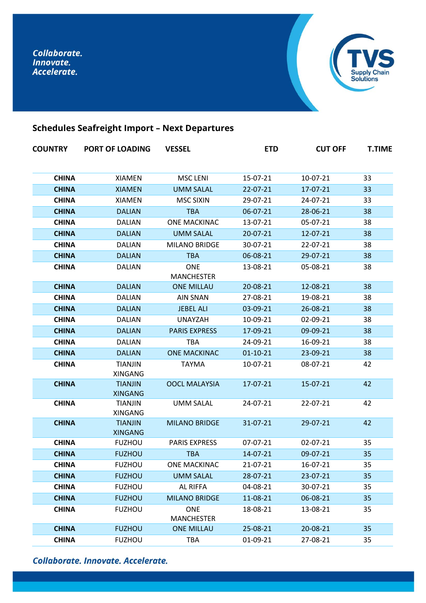

# **Schedules Seafreight Import – Next Departures**

| <b>COUNTRY</b> | <b>PORT OF LOADING</b>           | <b>VESSEL</b>                   | <b>ETD</b>     | <b>CUT OFF</b> | <b>T.TIME</b> |
|----------------|----------------------------------|---------------------------------|----------------|----------------|---------------|
| <b>CHINA</b>   | <b>XIAMEN</b>                    | <b>MSC LENI</b>                 | 15-07-21       | 10-07-21       | 33            |
| <b>CHINA</b>   | <b>XIAMEN</b>                    | <b>UMM SALAL</b>                | $22 - 07 - 21$ | 17-07-21       | 33            |
| <b>CHINA</b>   | <b>XIAMEN</b>                    | <b>MSC SIXIN</b>                | 29-07-21       | 24-07-21       | 33            |
| <b>CHINA</b>   | <b>DALIAN</b>                    | <b>TBA</b>                      | 06-07-21       | 28-06-21       | 38            |
| <b>CHINA</b>   | <b>DALIAN</b>                    | ONE MACKINAC                    | 13-07-21       | 05-07-21       | 38            |
| <b>CHINA</b>   | <b>DALIAN</b>                    | <b>UMM SALAL</b>                | $20 - 07 - 21$ | $12 - 07 - 21$ | 38            |
| <b>CHINA</b>   | <b>DALIAN</b>                    | <b>MILANO BRIDGE</b>            | 30-07-21       | 22-07-21       | 38            |
| <b>CHINA</b>   | <b>DALIAN</b>                    | <b>TBA</b>                      | 06-08-21       | 29-07-21       | 38            |
| <b>CHINA</b>   | <b>DALIAN</b>                    | <b>ONE</b><br><b>MANCHESTER</b> | 13-08-21       | 05-08-21       | 38            |
| <b>CHINA</b>   | <b>DALIAN</b>                    | <b>ONE MILLAU</b>               | 20-08-21       | 12-08-21       | 38            |
| <b>CHINA</b>   | <b>DALIAN</b>                    | <b>AIN SNAN</b>                 | 27-08-21       | 19-08-21       | 38            |
| <b>CHINA</b>   | <b>DALIAN</b>                    | <b>JEBEL ALI</b>                | 03-09-21       | 26-08-21       | 38            |
| <b>CHINA</b>   | <b>DALIAN</b>                    | <b>UNAYZAH</b>                  | 10-09-21       | 02-09-21       | 38            |
| <b>CHINA</b>   | <b>DALIAN</b>                    | <b>PARIS EXPRESS</b>            | 17-09-21       | 09-09-21       | 38            |
| <b>CHINA</b>   | <b>DALIAN</b>                    | <b>TBA</b>                      | 24-09-21       | 16-09-21       | 38            |
| <b>CHINA</b>   | <b>DALIAN</b>                    | <b>ONE MACKINAC</b>             | $01 - 10 - 21$ | 23-09-21       | 38            |
| <b>CHINA</b>   | <b>TIANJIN</b><br><b>XINGANG</b> | <b>TAYMA</b>                    | 10-07-21       | 08-07-21       | 42            |
| <b>CHINA</b>   | <b>TIANJIN</b><br><b>XINGANG</b> | <b>OOCL MALAYSIA</b>            | 17-07-21       | 15-07-21       | 42            |
| <b>CHINA</b>   | <b>TIANJIN</b><br><b>XINGANG</b> | <b>UMM SALAL</b>                | 24-07-21       | 22-07-21       | 42            |
| <b>CHINA</b>   | <b>TIANJIN</b><br><b>XINGANG</b> | <b>MILANO BRIDGE</b>            | 31-07-21       | 29-07-21       | 42            |
| <b>CHINA</b>   | <b>FUZHOU</b>                    | <b>PARIS EXPRESS</b>            | 07-07-21       | 02-07-21       | 35            |
| <b>CHINA</b>   | <b>FUZHOU</b>                    | <b>TBA</b>                      | 14-07-21       | 09-07-21       | 35            |
| <b>CHINA</b>   | <b>FUZHOU</b>                    | <b>ONE MACKINAC</b>             | 21-07-21       | 16-07-21       | 35            |
| <b>CHINA</b>   | <b>FUZHOU</b>                    | <b>UMM SALAL</b>                | 28-07-21       | 23-07-21       | 35            |
| <b>CHINA</b>   | <b>FUZHOU</b>                    | AL RIFFA                        | 04-08-21       | 30-07-21       | 35            |
| <b>CHINA</b>   | <b>FUZHOU</b>                    | <b>MILANO BRIDGE</b>            | 11-08-21       | 06-08-21       | 35            |
| <b>CHINA</b>   | <b>FUZHOU</b>                    | <b>ONE</b><br><b>MANCHESTER</b> | 18-08-21       | 13-08-21       | 35            |
| <b>CHINA</b>   | <b>FUZHOU</b>                    | <b>ONE MILLAU</b>               | 25-08-21       | 20-08-21       | 35            |
| <b>CHINA</b>   | <b>FUZHOU</b>                    | <b>TBA</b>                      | 01-09-21       | 27-08-21       | 35            |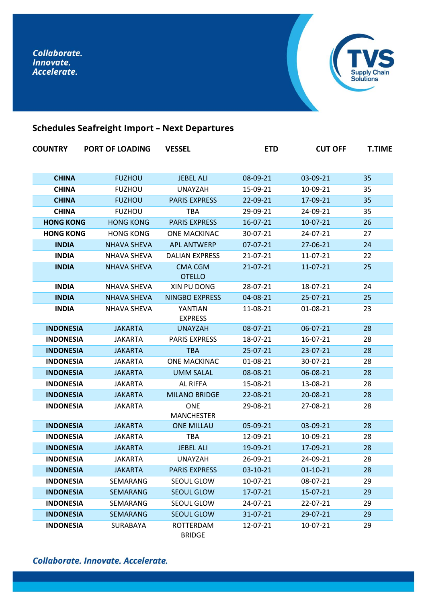

# **Schedules Seafreight Import – Next Departures**

| <b>COUNTRY</b>   | <b>PORT OF LOADING</b> | <b>VESSEL</b>                   | <b>ETD</b>     | <b>CUT OFF</b> | <b>T.TIME</b> |
|------------------|------------------------|---------------------------------|----------------|----------------|---------------|
| <b>CHINA</b>     | <b>FUZHOU</b>          | <b>JEBEL ALI</b>                | 08-09-21       | 03-09-21       | 35            |
| <b>CHINA</b>     | <b>FUZHOU</b>          | <b>UNAYZAH</b>                  | 15-09-21       | 10-09-21       | 35            |
| <b>CHINA</b>     | <b>FUZHOU</b>          | <b>PARIS EXPRESS</b>            | 22-09-21       | 17-09-21       | 35            |
| <b>CHINA</b>     | <b>FUZHOU</b>          | <b>TBA</b>                      | 29-09-21       | 24-09-21       | 35            |
| <b>HONG KONG</b> | <b>HONG KONG</b>       | <b>PARIS EXPRESS</b>            | $16 - 07 - 21$ | $10-07-21$     | 26            |
| <b>HONG KONG</b> | <b>HONG KONG</b>       | <b>ONE MACKINAC</b>             | 30-07-21       | 24-07-21       | 27            |
| <b>INDIA</b>     | <b>NHAVA SHEVA</b>     | <b>APL ANTWERP</b>              | 07-07-21       | 27-06-21       | 24            |
| <b>INDIA</b>     | <b>NHAVA SHEVA</b>     | <b>DALIAN EXPRESS</b>           | 21-07-21       | 11-07-21       | 22            |
| <b>INDIA</b>     | <b>NHAVA SHEVA</b>     | <b>CMA CGM</b><br><b>OTELLO</b> | $21 - 07 - 21$ | 11-07-21       | 25            |
| <b>INDIA</b>     | <b>NHAVA SHEVA</b>     | XIN PU DONG                     | 28-07-21       | 18-07-21       | 24            |
| <b>INDIA</b>     | <b>NHAVA SHEVA</b>     | <b>NINGBO EXPRESS</b>           | 04-08-21       | 25-07-21       | 25            |
| <b>INDIA</b>     | <b>NHAVA SHEVA</b>     | YANTIAN<br><b>EXPRESS</b>       | 11-08-21       | 01-08-21       | 23            |
| <b>INDONESIA</b> | <b>JAKARTA</b>         | <b>UNAYZAH</b>                  | 08-07-21       | $06 - 07 - 21$ | 28            |
| <b>INDONESIA</b> | <b>JAKARTA</b>         | <b>PARIS EXPRESS</b>            | 18-07-21       | 16-07-21       | 28            |
| <b>INDONESIA</b> | <b>JAKARTA</b>         | <b>TBA</b>                      | 25-07-21       | 23-07-21       | 28            |
| <b>INDONESIA</b> | JAKARTA                | <b>ONE MACKINAC</b>             | 01-08-21       | 30-07-21       | 28            |
| <b>INDONESIA</b> | <b>JAKARTA</b>         | <b>UMM SALAL</b>                | 08-08-21       | 06-08-21       | 28            |
| <b>INDONESIA</b> | JAKARTA                | <b>AL RIFFA</b>                 | 15-08-21       | 13-08-21       | 28            |
| <b>INDONESIA</b> | <b>JAKARTA</b>         | <b>MILANO BRIDGE</b>            | 22-08-21       | 20-08-21       | 28            |
| <b>INDONESIA</b> | JAKARTA                | <b>ONE</b><br><b>MANCHESTER</b> | 29-08-21       | 27-08-21       | 28            |
| <b>INDONESIA</b> | <b>JAKARTA</b>         | <b>ONE MILLAU</b>               | 05-09-21       | 03-09-21       | 28            |
| <b>INDONESIA</b> | JAKARTA                | <b>TBA</b>                      | 12-09-21       | 10-09-21       | 28            |
| <b>INDONESIA</b> | <b>JAKARTA</b>         | <b>JEBEL ALI</b>                | 19-09-21       | 17-09-21       | 28            |
| <b>INDONESIA</b> | JAKARTA                | <b>UNAYZAH</b>                  | 26-09-21       | 24-09-21       | 28            |
| <b>INDONESIA</b> | <b>JAKARTA</b>         | <b>PARIS EXPRESS</b>            | 03-10-21       | $01-10-21$     | 28            |
| <b>INDONESIA</b> | SEMARANG               | SEOUL GLOW                      | 10-07-21       | 08-07-21       | 29            |
| <b>INDONESIA</b> | <b>SEMARANG</b>        | <b>SEOUL GLOW</b>               | 17-07-21       | 15-07-21       | 29            |
| <b>INDONESIA</b> | SEMARANG               | SEOUL GLOW                      | 24-07-21       | 22-07-21       | 29            |
| <b>INDONESIA</b> | SEMARANG               | <b>SEOUL GLOW</b>               | 31-07-21       | 29-07-21       | 29            |
| <b>INDONESIA</b> | SURABAYA               | ROTTERDAM<br><b>BRIDGE</b>      | 12-07-21       | 10-07-21       | 29            |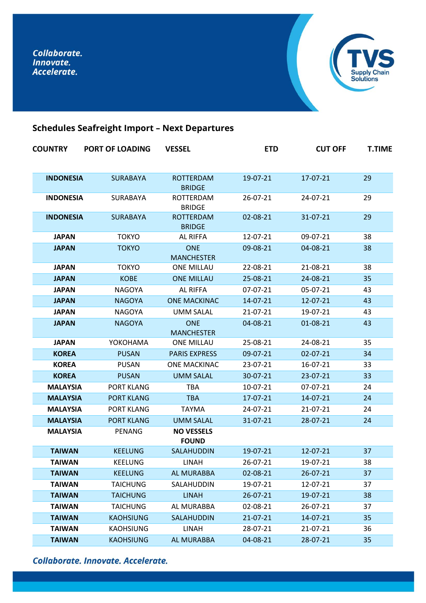

# **Schedules Seafreight Import – Next Departures**

| <b>COUNTRY</b>   | <b>PORT OF LOADING</b> | <b>VESSEL</b>                     | <b>ETD</b> | <b>CUT OFF</b> | <b>T.TIME</b> |
|------------------|------------------------|-----------------------------------|------------|----------------|---------------|
|                  |                        |                                   |            |                |               |
| <b>INDONESIA</b> | <b>SURABAYA</b>        | <b>ROTTERDAM</b><br><b>BRIDGE</b> | 19-07-21   | 17-07-21       | 29            |
| <b>INDONESIA</b> | SURABAYA               | ROTTERDAM<br><b>BRIDGE</b>        | 26-07-21   | 24-07-21       | 29            |
| <b>INDONESIA</b> | <b>SURABAYA</b>        | <b>ROTTERDAM</b><br><b>BRIDGE</b> | 02-08-21   | 31-07-21       | 29            |
| <b>JAPAN</b>     | <b>TOKYO</b>           | <b>AL RIFFA</b>                   | 12-07-21   | 09-07-21       | 38            |
| <b>JAPAN</b>     | <b>TOKYO</b>           | <b>ONE</b><br><b>MANCHESTER</b>   | 09-08-21   | 04-08-21       | 38            |
| <b>JAPAN</b>     | <b>TOKYO</b>           | <b>ONE MILLAU</b>                 | 22-08-21   | 21-08-21       | 38            |
| <b>JAPAN</b>     | <b>KOBE</b>            | <b>ONE MILLAU</b>                 | 25-08-21   | 24-08-21       | 35            |
| <b>JAPAN</b>     | <b>NAGOYA</b>          | <b>AL RIFFA</b>                   | 07-07-21   | 05-07-21       | 43            |
| <b>JAPAN</b>     | <b>NAGOYA</b>          | <b>ONE MACKINAC</b>               | 14-07-21   | 12-07-21       | 43            |
| <b>JAPAN</b>     | <b>NAGOYA</b>          | <b>UMM SALAL</b>                  | 21-07-21   | 19-07-21       | 43            |
| <b>JAPAN</b>     | <b>NAGOYA</b>          | <b>ONE</b><br><b>MANCHESTER</b>   | 04-08-21   | 01-08-21       | 43            |
| <b>JAPAN</b>     | YOKOHAMA               | <b>ONE MILLAU</b>                 | 25-08-21   | 24-08-21       | 35            |
| <b>KOREA</b>     | <b>PUSAN</b>           | <b>PARIS EXPRESS</b>              | 09-07-21   | 02-07-21       | 34            |
| <b>KOREA</b>     | <b>PUSAN</b>           | <b>ONE MACKINAC</b>               | 23-07-21   | 16-07-21       | 33            |
| <b>KOREA</b>     | <b>PUSAN</b>           | <b>UMM SALAL</b>                  | 30-07-21   | 23-07-21       | 33            |
| <b>MALAYSIA</b>  | PORT KLANG             | <b>TBA</b>                        | 10-07-21   | 07-07-21       | 24            |
| <b>MALAYSIA</b>  | <b>PORT KLANG</b>      | <b>TBA</b>                        | 17-07-21   | 14-07-21       | 24            |
| <b>MALAYSIA</b>  | <b>PORT KLANG</b>      | <b>TAYMA</b>                      | 24-07-21   | 21-07-21       | 24            |
| <b>MALAYSIA</b>  | <b>PORT KLANG</b>      | <b>UMM SALAL</b>                  | 31-07-21   | 28-07-21       | 24            |
| <b>MALAYSIA</b>  | PENANG                 | <b>NO VESSELS</b><br><b>FOUND</b> |            |                |               |
| <b>TAIWAN</b>    | <b>KEELUNG</b>         | <b>SALAHUDDIN</b>                 | 19-07-21   | 12-07-21       | 37            |
| <b>TAIWAN</b>    | KEELUNG                | LINAH                             | 26-07-21   | 19-07-21       | 38            |
| <b>TAIWAN</b>    | <b>KEELUNG</b>         | AL MURABBA                        | 02-08-21   | 26-07-21       | 37            |
| <b>TAIWAN</b>    | <b>TAICHUNG</b>        | SALAHUDDIN                        | 19-07-21   | 12-07-21       | 37            |
| <b>TAIWAN</b>    | <b>TAICHUNG</b>        | <b>LINAH</b>                      | 26-07-21   | 19-07-21       | 38            |
| <b>TAIWAN</b>    | <b>TAICHUNG</b>        | AL MURABBA                        | 02-08-21   | 26-07-21       | 37            |
| <b>TAIWAN</b>    | <b>KAOHSIUNG</b>       | SALAHUDDIN                        | 21-07-21   | 14-07-21       | 35            |
| <b>TAIWAN</b>    | <b>KAOHSIUNG</b>       | LINAH                             | 28-07-21   | 21-07-21       | 36            |
| <b>TAIWAN</b>    | <b>KAOHSIUNG</b>       | AL MURABBA                        | 04-08-21   | 28-07-21       | 35            |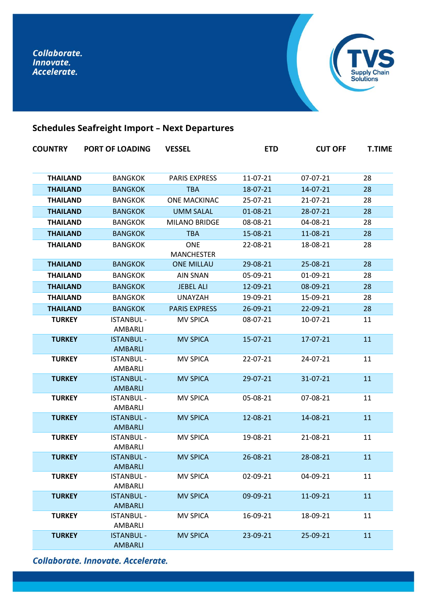

# **Schedules Seafreight Import – Next Departures**

| <b>COUNTRY</b>  | <b>PORT OF LOADING</b>              | <b>VESSEL</b>                   | <b>ETD</b> | <b>CUT OFF</b> | <b>T.TIME</b> |
|-----------------|-------------------------------------|---------------------------------|------------|----------------|---------------|
| <b>THAILAND</b> | <b>BANGKOK</b>                      | <b>PARIS EXPRESS</b>            | 11-07-21   | 07-07-21       | 28            |
| <b>THAILAND</b> | <b>BANGKOK</b>                      | <b>TBA</b>                      | 18-07-21   | 14-07-21       | 28            |
| <b>THAILAND</b> | <b>BANGKOK</b>                      | <b>ONE MACKINAC</b>             | 25-07-21   | 21-07-21       | 28            |
| <b>THAILAND</b> | <b>BANGKOK</b>                      | <b>UMM SALAL</b>                | 01-08-21   | 28-07-21       | 28            |
| <b>THAILAND</b> | <b>BANGKOK</b>                      | <b>MILANO BRIDGE</b>            | 08-08-21   | 04-08-21       | 28            |
| <b>THAILAND</b> | <b>BANGKOK</b>                      | <b>TBA</b>                      | 15-08-21   | 11-08-21       | 28            |
| <b>THAILAND</b> | <b>BANGKOK</b>                      | <b>ONE</b><br><b>MANCHESTER</b> | 22-08-21   | 18-08-21       | 28            |
| <b>THAILAND</b> | <b>BANGKOK</b>                      | <b>ONE MILLAU</b>               | 29-08-21   | 25-08-21       | 28            |
| <b>THAILAND</b> | <b>BANGKOK</b>                      | <b>AIN SNAN</b>                 | 05-09-21   | 01-09-21       | 28            |
| <b>THAILAND</b> | <b>BANGKOK</b>                      | <b>JEBEL ALI</b>                | 12-09-21   | 08-09-21       | 28            |
| <b>THAILAND</b> | <b>BANGKOK</b>                      | <b>UNAYZAH</b>                  | 19-09-21   | 15-09-21       | 28            |
| <b>THAILAND</b> | <b>BANGKOK</b>                      | <b>PARIS EXPRESS</b>            | 26-09-21   | 22-09-21       | 28            |
| <b>TURKEY</b>   | <b>ISTANBUL -</b><br>AMBARLI        | <b>MV SPICA</b>                 | 08-07-21   | 10-07-21       | 11            |
| <b>TURKEY</b>   | <b>ISTANBUL -</b><br>AMBARLI        | <b>MV SPICA</b>                 | 15-07-21   | 17-07-21       | 11            |
| <b>TURKEY</b>   | <b>ISTANBUL -</b><br>AMBARLI        | <b>MV SPICA</b>                 | 22-07-21   | 24-07-21       | 11            |
| <b>TURKEY</b>   | <b>ISTANBUL -</b><br>AMBARLI        | <b>MV SPICA</b>                 | 29-07-21   | 31-07-21       | 11            |
| <b>TURKEY</b>   | <b>ISTANBUL -</b><br>AMBARLI        | <b>MV SPICA</b>                 | 05-08-21   | 07-08-21       | 11            |
| <b>TURKEY</b>   | <b>ISTANBUL -</b><br>AMBARLI        | <b>MV SPICA</b>                 | 12-08-21   | 14-08-21       | 11            |
| <b>TURKEY</b>   | <b>ISTANBUL -</b><br>AMBARLI        | <b>MV SPICA</b>                 | 19-08-21   | 21-08-21       | 11            |
| <b>TURKEY</b>   | <b>ISTANBUL -</b><br><b>AMBARLI</b> | <b>MV SPICA</b>                 | 26-08-21   | 28-08-21       | 11            |
| <b>TURKEY</b>   | <b>ISTANBUL -</b><br>AMBARLI        | <b>MV SPICA</b>                 | 02-09-21   | 04-09-21       | 11            |
| <b>TURKEY</b>   | <b>ISTANBUL -</b><br><b>AMBARLI</b> | <b>MV SPICA</b>                 | 09-09-21   | 11-09-21       | 11            |
| <b>TURKEY</b>   | <b>ISTANBUL -</b><br>AMBARLI        | <b>MV SPICA</b>                 | 16-09-21   | 18-09-21       | 11            |
| <b>TURKEY</b>   | <b>ISTANBUL -</b><br><b>AMBARLI</b> | <b>MV SPICA</b>                 | 23-09-21   | 25-09-21       | 11            |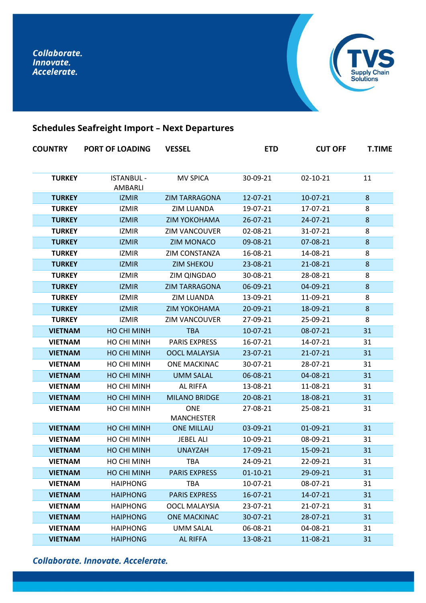

# **Schedules Seafreight Import – Next Departures**

| <b>COUNTRY</b> | <b>PORT OF LOADING</b>       | <b>VESSEL</b>                   | <b>ETD</b>     | <b>CUT OFF</b> | <b>T.TIME</b> |
|----------------|------------------------------|---------------------------------|----------------|----------------|---------------|
| <b>TURKEY</b>  | <b>ISTANBUL -</b><br>AMBARLI | <b>MV SPICA</b>                 | 30-09-21       | 02-10-21       | 11            |
| <b>TURKEY</b>  | <b>IZMIR</b>                 | <b>ZIM TARRAGONA</b>            | 12-07-21       | $10-07-21$     | 8             |
| <b>TURKEY</b>  | <b>IZMIR</b>                 | <b>ZIM LUANDA</b>               | 19-07-21       | 17-07-21       | 8             |
| <b>TURKEY</b>  | <b>IZMIR</b>                 | <b>ZIM YOKOHAMA</b>             | $26 - 07 - 21$ | 24-07-21       | 8             |
| <b>TURKEY</b>  | <b>IZMIR</b>                 | <b>ZIM VANCOUVER</b>            | 02-08-21       | 31-07-21       | 8             |
| <b>TURKEY</b>  | <b>IZMIR</b>                 | <b>ZIM MONACO</b>               | 09-08-21       | 07-08-21       | 8             |
| <b>TURKEY</b>  | <b>IZMIR</b>                 | ZIM CONSTANZA                   | 16-08-21       | 14-08-21       | 8             |
| <b>TURKEY</b>  | <b>IZMIR</b>                 | <b>ZIM SHEKOU</b>               | 23-08-21       | 21-08-21       | 8             |
| <b>TURKEY</b>  | <b>IZMIR</b>                 | ZIM QINGDAO                     | 30-08-21       | 28-08-21       | 8             |
| <b>TURKEY</b>  | <b>IZMIR</b>                 | <b>ZIM TARRAGONA</b>            | 06-09-21       | 04-09-21       | 8             |
| <b>TURKEY</b>  | <b>IZMIR</b>                 | <b>ZIM LUANDA</b>               | 13-09-21       | 11-09-21       | 8             |
| <b>TURKEY</b>  | <b>IZMIR</b>                 | <b>ZIM YOKOHAMA</b>             | 20-09-21       | 18-09-21       | 8             |
| <b>TURKEY</b>  | <b>IZMIR</b>                 | <b>ZIM VANCOUVER</b>            | 27-09-21       | 25-09-21       | 8             |
| <b>VIETNAM</b> | <b>HO CHI MINH</b>           | <b>TBA</b>                      | $10-07-21$     | 08-07-21       | 31            |
| <b>VIETNAM</b> | HO CHI MINH                  | <b>PARIS EXPRESS</b>            | 16-07-21       | 14-07-21       | 31            |
| <b>VIETNAM</b> | <b>HO CHI MINH</b>           | <b>OOCL MALAYSIA</b>            | $23 - 07 - 21$ | $21 - 07 - 21$ | 31            |
| <b>VIETNAM</b> | HO CHI MINH                  | <b>ONE MACKINAC</b>             | 30-07-21       | 28-07-21       | 31            |
| <b>VIETNAM</b> | <b>HO CHI MINH</b>           | <b>UMM SALAL</b>                | 06-08-21       | 04-08-21       | 31            |
| <b>VIETNAM</b> | HO CHI MINH                  | <b>AL RIFFA</b>                 | 13-08-21       | 11-08-21       | 31            |
| <b>VIETNAM</b> | <b>HO CHI MINH</b>           | <b>MILANO BRIDGE</b>            | 20-08-21       | 18-08-21       | 31            |
| <b>VIETNAM</b> | HO CHI MINH                  | <b>ONE</b><br><b>MANCHESTER</b> | 27-08-21       | 25-08-21       | 31            |
| <b>VIETNAM</b> | <b>HO CHI MINH</b>           | <b>ONE MILLAU</b>               | 03-09-21       | 01-09-21       | 31            |
| <b>VIETNAM</b> | HO CHI MINH                  | JEBEL ALI                       | 10-09-21       | 08-09-21       | 31            |
| <b>VIETNAM</b> | <b>HO CHI MINH</b>           | <b>UNAYZAH</b>                  | 17-09-21       | 15-09-21       | 31            |
| <b>VIETNAM</b> | HO CHI MINH                  | TBA                             | 24-09-21       | 22-09-21       | 31            |
| <b>VIETNAM</b> | HO CHI MINH                  | <b>PARIS EXPRESS</b>            | $01 - 10 - 21$ | 29-09-21       | 31            |
| <b>VIETNAM</b> | <b>HAIPHONG</b>              | <b>TBA</b>                      | 10-07-21       | 08-07-21       | 31            |
| <b>VIETNAM</b> | <b>HAIPHONG</b>              | <b>PARIS EXPRESS</b>            | 16-07-21       | 14-07-21       | 31            |
| <b>VIETNAM</b> | <b>HAIPHONG</b>              | OOCL MALAYSIA                   | 23-07-21       | 21-07-21       | 31            |
| <b>VIETNAM</b> | <b>HAIPHONG</b>              | <b>ONE MACKINAC</b>             | 30-07-21       | 28-07-21       | 31            |
| <b>VIETNAM</b> | <b>HAIPHONG</b>              | <b>UMM SALAL</b>                | 06-08-21       | 04-08-21       | 31            |
| <b>VIETNAM</b> | <b>HAIPHONG</b>              | <b>AL RIFFA</b>                 | 13-08-21       | 11-08-21       | 31            |